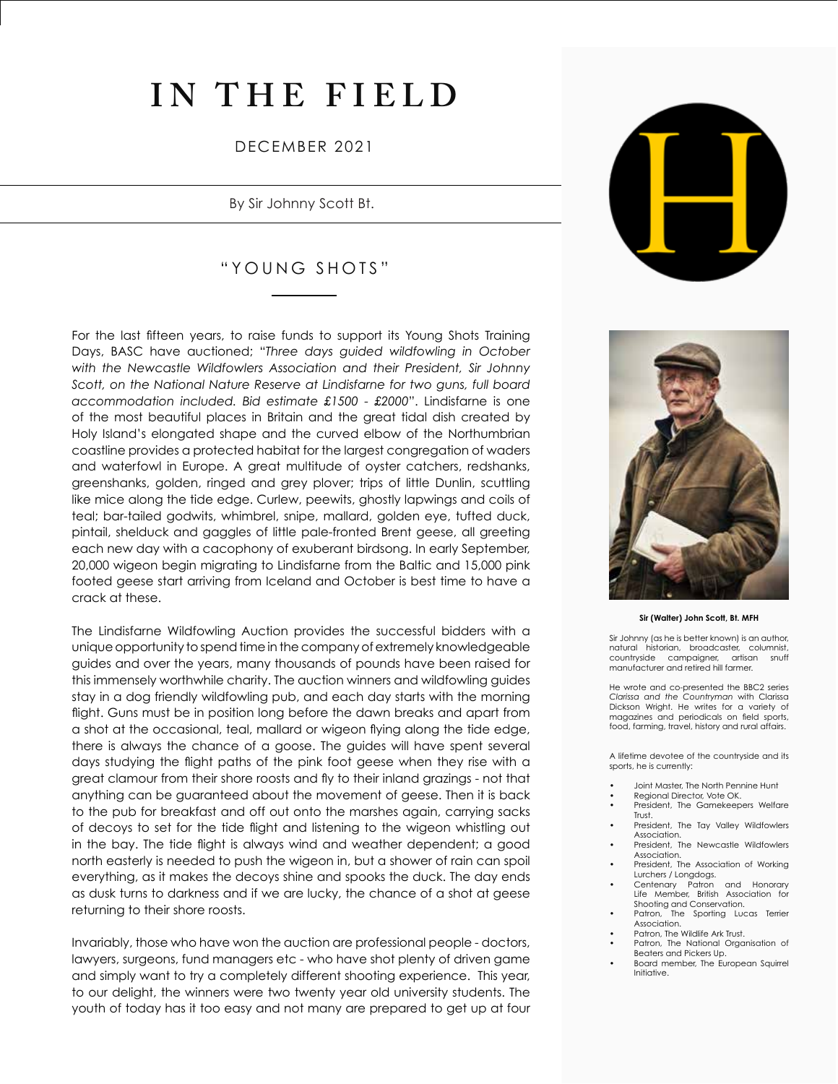# **IN THE FIELD**

DECEMBER 2021

### By Sir Johnny Scott Bt.

## "YOUNG SHOTS"

For the last fifteen years, to raise funds to support its Young Shots Training Days, BASC have auctioned; "*Three days guided wildfowling in October with the Newcastle Wildfowlers Association and their President, Sir Johnny Scott, on the National Nature Reserve at Lindisfarne for two guns, full board accommodation included. Bid estimate £1500 - £2000*". Lindisfarne is one of the most beautiful places in Britain and the great tidal dish created by Holy Island's elongated shape and the curved elbow of the Northumbrian coastline provides a protected habitat for the largest congregation of waders and waterfowl in Europe. A great multitude of oyster catchers, redshanks, greenshanks, golden, ringed and grey plover; trips of little Dunlin, scuttling like mice along the tide edge. Curlew, peewits, ghostly lapwings and coils of teal; bar-tailed godwits, whimbrel, snipe, mallard, golden eye, tufted duck, pintail, shelduck and gaggles of little pale-fronted Brent geese, all greeting each new day with a cacophony of exuberant birdsong. In early September, 20,000 wigeon begin migrating to Lindisfarne from the Baltic and 15,000 pink footed geese start arriving from Iceland and October is best time to have a crack at these.

The Lindisfarne Wildfowling Auction provides the successful bidders with a unique opportunity to spend time in the company of extremely knowledgeable guides and over the years, many thousands of pounds have been raised for this immensely worthwhile charity. The auction winners and wildfowling guides stay in a dog friendly wildfowling pub, and each day starts with the morning flight. Guns must be in position long before the dawn breaks and apart from a shot at the occasional, teal, mallard or wigeon flying along the tide edge, there is always the chance of a goose. The guides will have spent several days studying the flight paths of the pink foot geese when they rise with a great clamour from their shore roosts and fly to their inland grazings - not that anything can be guaranteed about the movement of geese. Then it is back to the pub for breakfast and off out onto the marshes again, carrying sacks of decoys to set for the tide flight and listening to the wigeon whistling out in the bay. The tide flight is always wind and weather dependent; a good north easterly is needed to push the wigeon in, but a shower of rain can spoil everything, as it makes the decoys shine and spooks the duck. The day ends as dusk turns to darkness and if we are lucky, the chance of a shot at geese returning to their shore roosts.

Invariably, those who have won the auction are professional people - doctors, lawyers, surgeons, fund managers etc - who have shot plenty of driven game and simply want to try a completely different shooting experience. This year, to our delight, the winners were two twenty year old university students. The youth of today has it too easy and not many are prepared to get up at four





#### **Sir (Walter) John Scott, Bt. MFH**

Sir Johnny (as he is better known) is an author, natural historian, broadcaster, columnist, countryside campaigner, manufacturer and retired hill farmer.

He wrote and co-presented the BBC2 series *Clarissa and the Countryman* with Clarissa Dickson Wright. He writes for a variety of magazines and periodicals on field sports, food, farming, travel, history and rural affairs.

A lifetime devotee of the countryside and its sports, he is currently:

- Joint Master, The North Pennine Hunt
- Regional Director, Vote OK.
- President, The Gamekeepers Welfare Trust.
- President, The Tay Valley Wildfowlers Association.
- President, The Newcastle Wildfowlers Association.
- President, The Association of Working Lurchers / Longdogs.
- Centenary Patron and Honorary Life Member, British Association for Shooting and Conservation.<br>Patron, The Sporting Lux
- The Sporting Lucas Terrier Association.
- Patron, The Wildlife Ark Trust.
- Patron, The National Organisation of Beaters and Pickers Up.
- Board member, The European Squirrel Initiative.